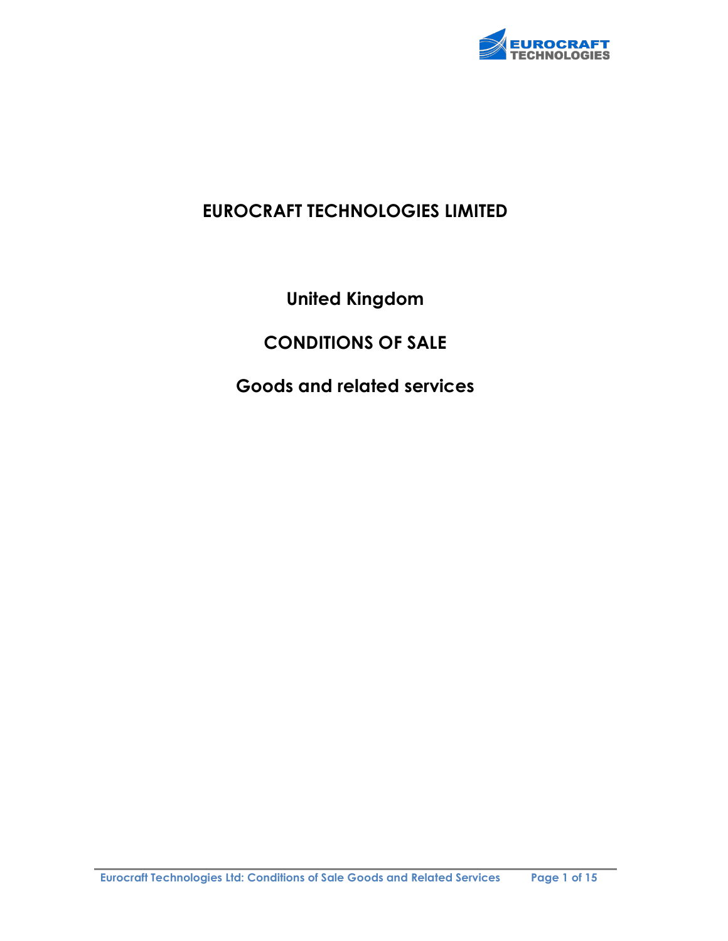

## EUROCRAFT TECHNOLOGIES LIMITED

United Kingdom

# CONDITIONS OF SALE

Goods and related services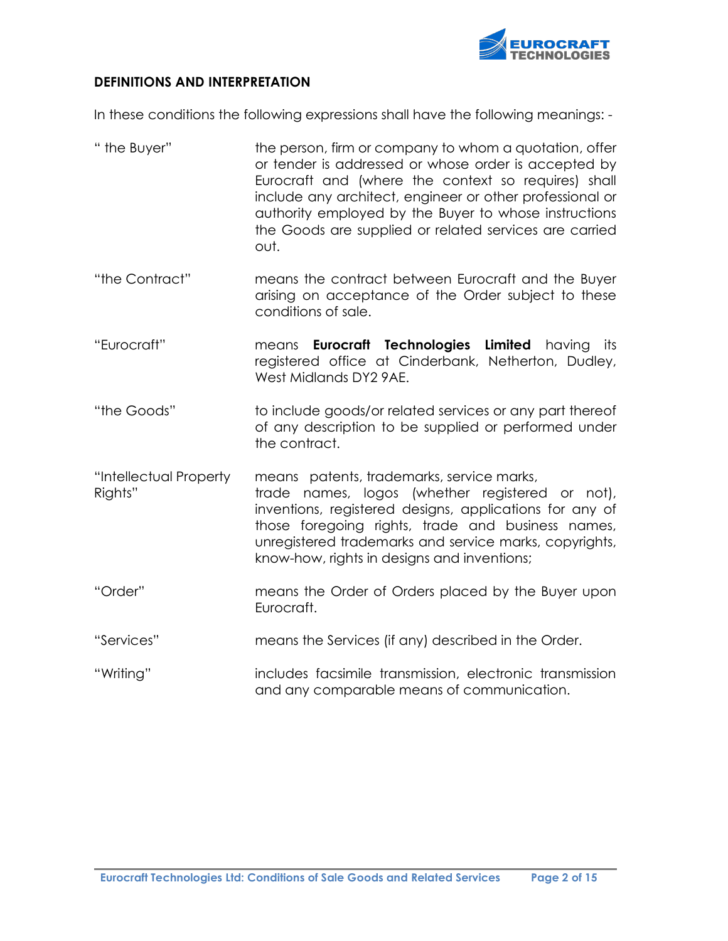

#### DEFINITIONS AND INTERPRETATION

In these conditions the following expressions shall have the following meanings: -

" the Buyer" the person, firm or company to whom a quotation, offer or tender is addressed or whose order is accepted by Eurocraft and (where the context so requires) shall include any architect, engineer or other professional or authority employed by the Buyer to whose instructions the Goods are supplied or related services are carried out. "the Contract" means the contract between Eurocraft and the Buyer arising on acceptance of the Order subject to these conditions of sale. "Eurocraft" means Eurocraft Technologies Limited having its registered office at Cinderbank, Netherton, Dudley, West Midlands DY2 9AE. "the Goods" to include goods/or related services or any part thereof of any description to be supplied or performed under the contract. "Intellectual Property means patents, trademarks, service marks, Rights" **trade names, logos (whether registered or not)**, inventions, registered designs, applications for any of those foregoing rights, trade and business names, unregistered trademarks and service marks, copyrights, know-how, rights in designs and inventions; "Order" means the Order of Orders placed by the Buyer upon Eurocraft. "Services" means the Services (if any) described in the Order. "Writing" includes facsimile transmission, electronic transmission and any comparable means of communication.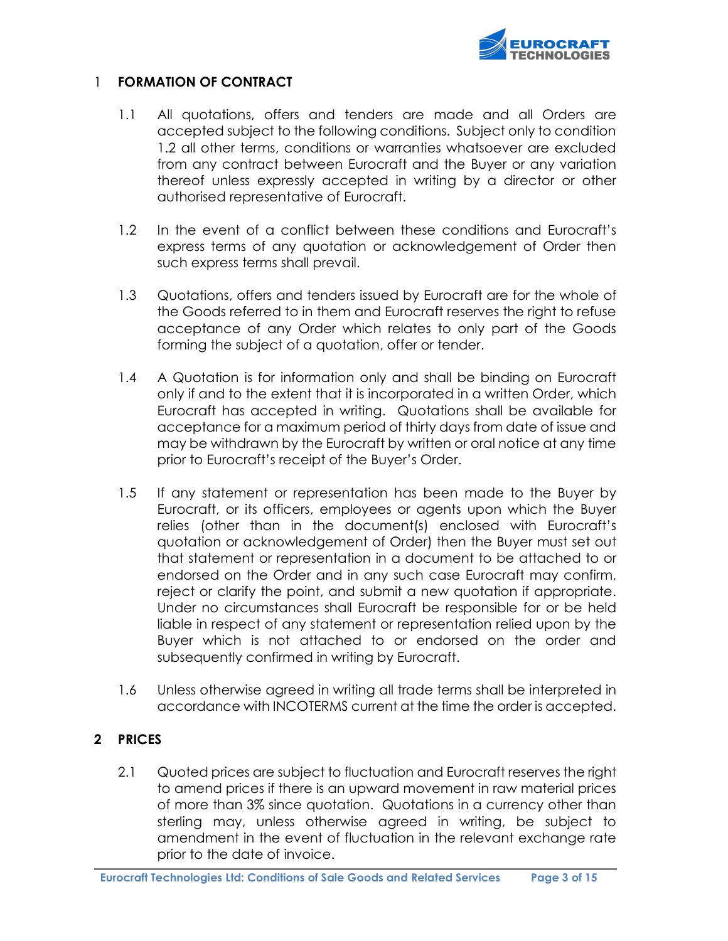

#### 1 FORMATION OF CONTRACT

- 1.1 All quotations, offers and tenders are made and all Orders are accepted subject to the following conditions. Subject only to condition 1.2 all other terms, conditions or warranties whatsoever are excluded from any contract between Eurocraft and the Buyer or any variation thereof unless expressly accepted in writing by a director or other authorised representative of Eurocraft.
- 1.2 In the event of a conflict between these conditions and Eurocraft's express terms of any quotation or acknowledgement of Order then such express terms shall prevail.
- 1.3 Quotations, offers and tenders issued by Eurocraft are for the whole of the Goods referred to in them and Eurocraft reserves the right to refuse acceptance of any Order which relates to only part of the Goods forming the subject of a quotation, offer or tender.
- 1.4 A Quotation is for information only and shall be binding on Eurocraft only if and to the extent that it is incorporated in a written Order, which Eurocraft has accepted in writing. Quotations shall be available for acceptance for a maximum period of thirty days from date of issue and may be withdrawn by the Eurocraft by written or oral notice at any time prior to Eurocraft's receipt of the Buyer's Order.
- 1.5 If any statement or representation has been made to the Buyer by Eurocraft, or its officers, employees or agents upon which the Buyer relies (other than in the document(s) enclosed with Eurocraft's quotation or acknowledgement of Order) then the Buyer must set out that statement or representation in a document to be attached to or endorsed on the Order and in any such case Eurocraft may confirm, reject or clarify the point, and submit a new quotation if appropriate. Under no circumstances shall Eurocraft be responsible for or be held liable in respect of any statement or representation relied upon by the Buyer which is not attached to or endorsed on the order and subsequently confirmed in writing by Eurocraft.
- 1.6 Unless otherwise agreed in writing all trade terms shall be interpreted in accordance with INCOTERMS current at the time the order is accepted.

### 2 PRICES

2.1 Quoted prices are subject to fluctuation and Eurocraft reserves the right to amend prices if there is an upward movement in raw material prices of more than 3% since quotation. Quotations in a currency other than sterling may, unless otherwise agreed in writing, be subject to amendment in the event of fluctuation in the relevant exchange rate prior to the date of invoice.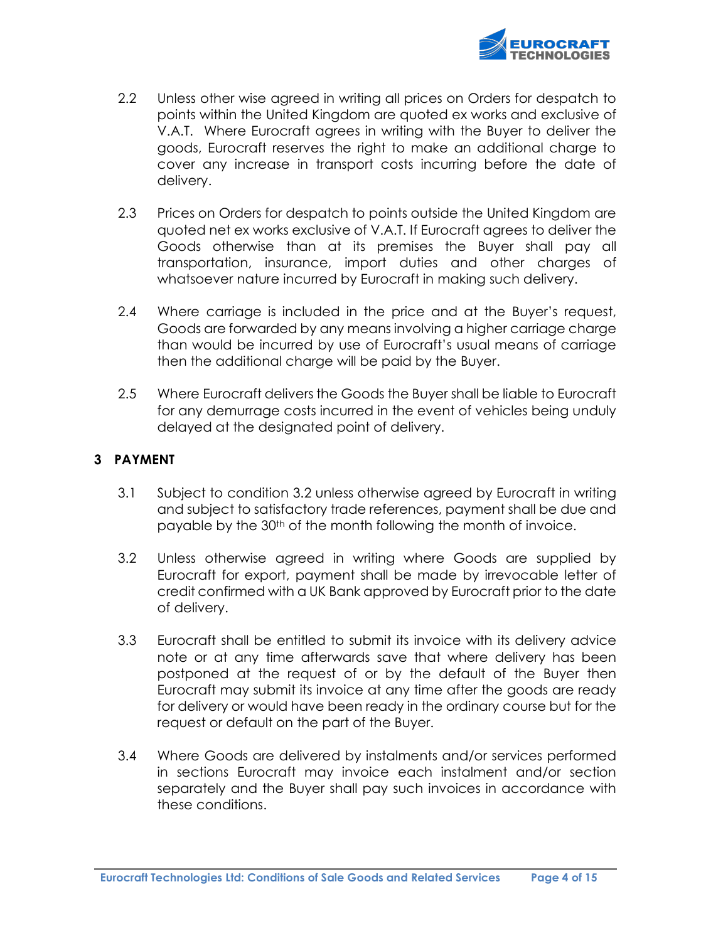

- 2.2 Unless other wise agreed in writing all prices on Orders for despatch to points within the United Kingdom are quoted ex works and exclusive of V.A.T. Where Eurocraft agrees in writing with the Buyer to deliver the goods, Eurocraft reserves the right to make an additional charge to cover any increase in transport costs incurring before the date of delivery.
- 2.3 Prices on Orders for despatch to points outside the United Kingdom are quoted net ex works exclusive of V.A.T. If Eurocraft agrees to deliver the Goods otherwise than at its premises the Buyer shall pay all transportation, insurance, import duties and other charges of whatsoever nature incurred by Eurocraft in making such delivery.
- 2.4 Where carriage is included in the price and at the Buyer's request, Goods are forwarded by any means involving a higher carriage charge than would be incurred by use of Eurocraft's usual means of carriage then the additional charge will be paid by the Buyer.
- 2.5 Where Eurocraft delivers the Goods the Buyer shall be liable to Eurocraft for any demurrage costs incurred in the event of vehicles being unduly delayed at the designated point of delivery.

## 3 PAYMENT

- 3.1 Subject to condition 3.2 unless otherwise agreed by Eurocraft in writing and subject to satisfactory trade references, payment shall be due and payable by the 30th of the month following the month of invoice.
- 3.2 Unless otherwise agreed in writing where Goods are supplied by Eurocraft for export, payment shall be made by irrevocable letter of credit confirmed with a UK Bank approved by Eurocraft prior to the date of delivery.
- 3.3 Eurocraft shall be entitled to submit its invoice with its delivery advice note or at any time afterwards save that where delivery has been postponed at the request of or by the default of the Buyer then Eurocraft may submit its invoice at any time after the goods are ready for delivery or would have been ready in the ordinary course but for the request or default on the part of the Buyer.
- 3.4 Where Goods are delivered by instalments and/or services performed in sections Eurocraft may invoice each instalment and/or section separately and the Buyer shall pay such invoices in accordance with these conditions.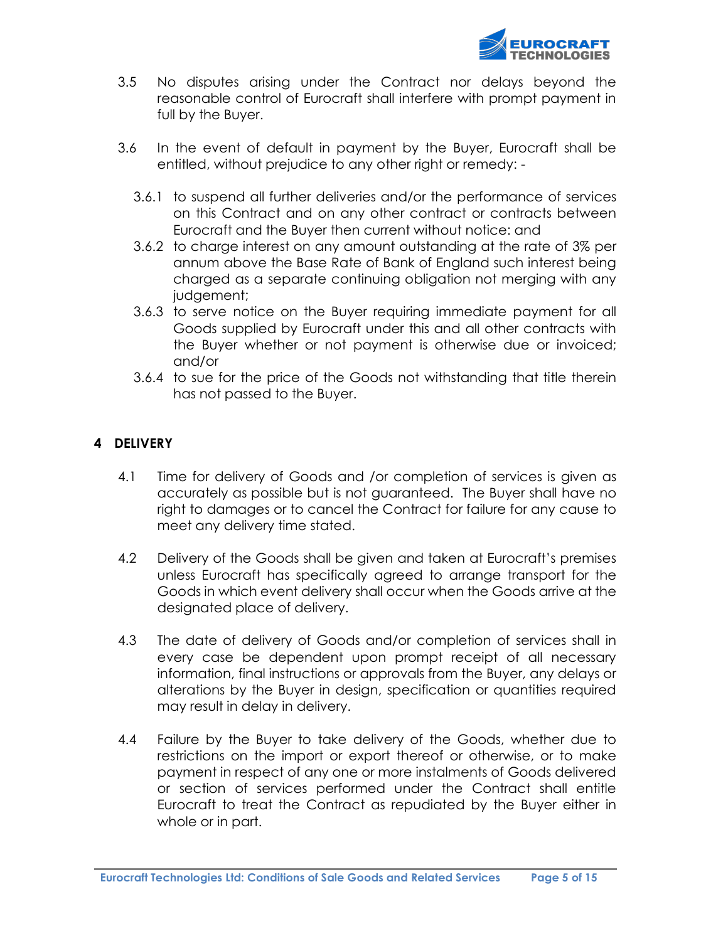

- 3.5 No disputes arising under the Contract nor delays beyond the reasonable control of Eurocraft shall interfere with prompt payment in full by the Buyer.
- 3.6 In the event of default in payment by the Buyer, Eurocraft shall be entitled, without prejudice to any other right or remedy: -
	- 3.6.1 to suspend all further deliveries and/or the performance of services on this Contract and on any other contract or contracts between Eurocraft and the Buyer then current without notice: and
	- 3.6.2 to charge interest on any amount outstanding at the rate of 3% per annum above the Base Rate of Bank of England such interest being charged as a separate continuing obligation not merging with any judgement;
	- 3.6.3 to serve notice on the Buyer requiring immediate payment for all Goods supplied by Eurocraft under this and all other contracts with the Buyer whether or not payment is otherwise due or invoiced; and/or
	- 3.6.4 to sue for the price of the Goods not withstanding that title therein has not passed to the Buyer.

## 4 DELIVERY

- 4.1 Time for delivery of Goods and /or completion of services is given as accurately as possible but is not guaranteed. The Buyer shall have no right to damages or to cancel the Contract for failure for any cause to meet any delivery time stated.
- 4.2 Delivery of the Goods shall be given and taken at Eurocraft's premises unless Eurocraft has specifically agreed to arrange transport for the Goods in which event delivery shall occur when the Goods arrive at the designated place of delivery.
- 4.3 The date of delivery of Goods and/or completion of services shall in every case be dependent upon prompt receipt of all necessary information, final instructions or approvals from the Buyer, any delays or alterations by the Buyer in design, specification or quantities required may result in delay in delivery.
- 4.4 Failure by the Buyer to take delivery of the Goods, whether due to restrictions on the import or export thereof or otherwise, or to make payment in respect of any one or more instalments of Goods delivered or section of services performed under the Contract shall entitle Eurocraft to treat the Contract as repudiated by the Buyer either in whole or in part.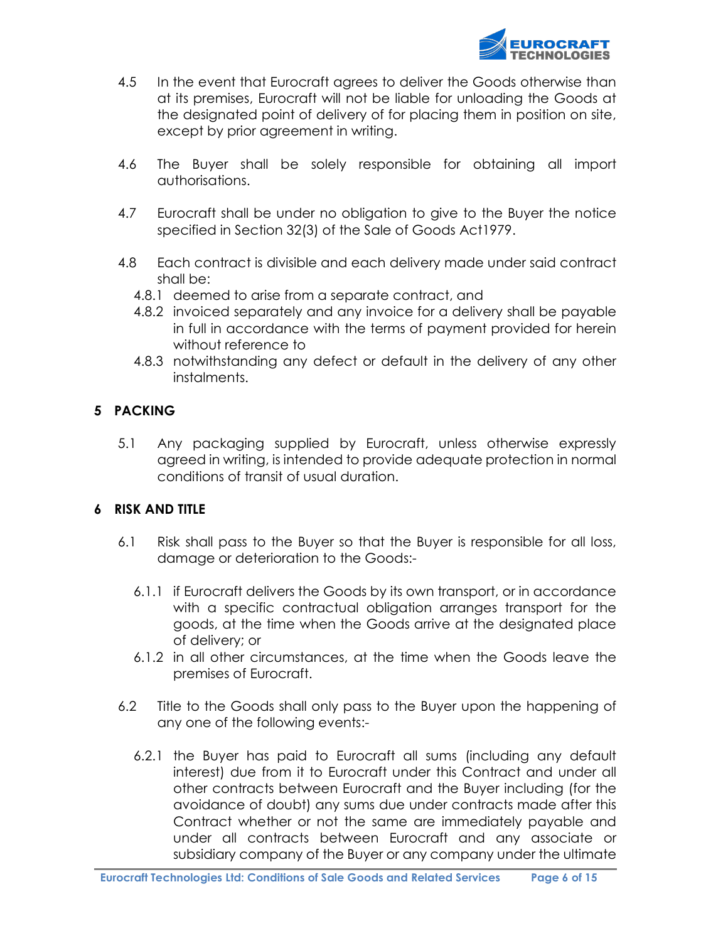

- 4.5 In the event that Eurocraft agrees to deliver the Goods otherwise than at its premises, Eurocraft will not be liable for unloading the Goods at the designated point of delivery of for placing them in position on site, except by prior agreement in writing.
- 4.6 The Buyer shall be solely responsible for obtaining all import authorisations.
- 4.7 Eurocraft shall be under no obligation to give to the Buyer the notice specified in Section 32(3) of the Sale of Goods Act1979.
- 4.8 Each contract is divisible and each delivery made under said contract shall be:
	- 4.8.1 deemed to arise from a separate contract, and
	- 4.8.2 invoiced separately and any invoice for a delivery shall be payable in full in accordance with the terms of payment provided for herein without reference to
	- 4.8.3 notwithstanding any defect or default in the delivery of any other instalments.

### 5 PACKING

5.1 Any packaging supplied by Eurocraft, unless otherwise expressly agreed in writing, is intended to provide adequate protection in normal conditions of transit of usual duration.

### 6 RISK AND TITLE

- 6.1 Risk shall pass to the Buyer so that the Buyer is responsible for all loss, damage or deterioration to the Goods:-
	- 6.1.1 if Eurocraft delivers the Goods by its own transport, or in accordance with a specific contractual obligation arranges transport for the goods, at the time when the Goods arrive at the designated place of delivery; or
	- 6.1.2 in all other circumstances, at the time when the Goods leave the premises of Eurocraft.
- 6.2 Title to the Goods shall only pass to the Buyer upon the happening of any one of the following events:-
	- 6.2.1 the Buyer has paid to Eurocraft all sums (including any default interest) due from it to Eurocraft under this Contract and under all other contracts between Eurocraft and the Buyer including (for the avoidance of doubt) any sums due under contracts made after this Contract whether or not the same are immediately payable and under all contracts between Eurocraft and any associate or subsidiary company of the Buyer or any company under the ultimate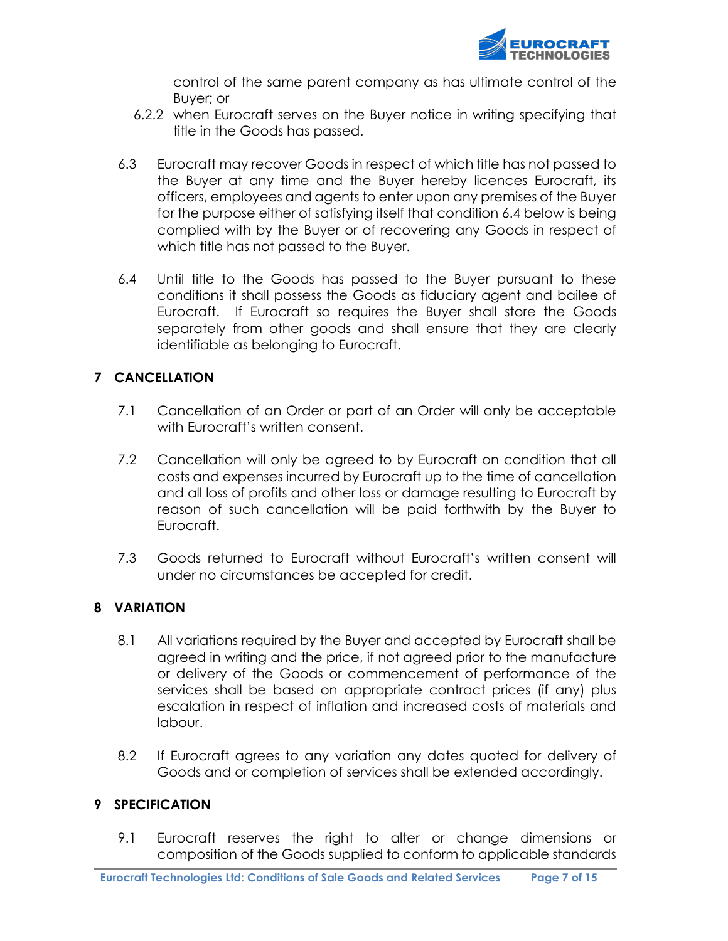

control of the same parent company as has ultimate control of the Buyer; or

- 6.2.2 when Eurocraft serves on the Buyer notice in writing specifying that title in the Goods has passed.
- 6.3 Eurocraft may recover Goods in respect of which title has not passed to the Buyer at any time and the Buyer hereby licences Eurocraft, its officers, employees and agents to enter upon any premises of the Buyer for the purpose either of satisfying itself that condition 6.4 below is being complied with by the Buyer or of recovering any Goods in respect of which title has not passed to the Buyer.
- 6.4 Until title to the Goods has passed to the Buyer pursuant to these conditions it shall possess the Goods as fiduciary agent and bailee of Eurocraft. If Eurocraft so requires the Buyer shall store the Goods separately from other goods and shall ensure that they are clearly identifiable as belonging to Eurocraft.

## 7 CANCELLATION

- 7.1 Cancellation of an Order or part of an Order will only be acceptable with Eurocraft's written consent.
- 7.2 Cancellation will only be agreed to by Eurocraft on condition that all costs and expenses incurred by Eurocraft up to the time of cancellation and all loss of profits and other loss or damage resulting to Eurocraft by reason of such cancellation will be paid forthwith by the Buyer to Eurocraft.
- 7.3 Goods returned to Eurocraft without Eurocraft's written consent will under no circumstances be accepted for credit.

### 8 VARIATION

- 8.1 All variations required by the Buyer and accepted by Eurocraft shall be agreed in writing and the price, if not agreed prior to the manufacture or delivery of the Goods or commencement of performance of the services shall be based on appropriate contract prices (if any) plus escalation in respect of inflation and increased costs of materials and labour.
- 8.2 If Eurocraft agrees to any variation any dates quoted for delivery of Goods and or completion of services shall be extended accordingly.

### 9 SPECIFICATION

9.1 Eurocraft reserves the right to alter or change dimensions or composition of the Goods supplied to conform to applicable standards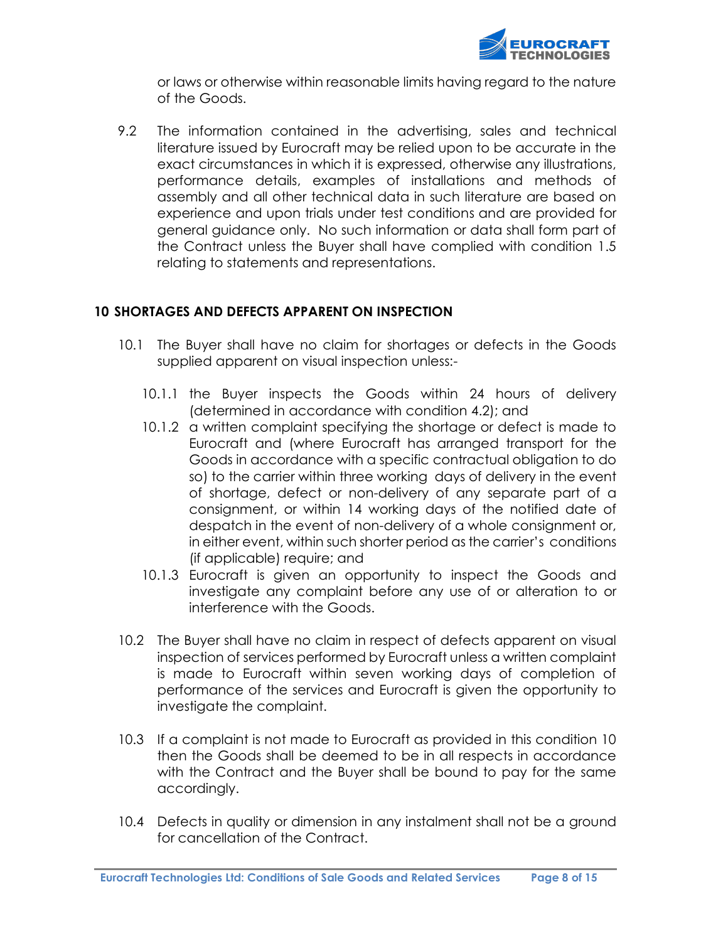

or laws or otherwise within reasonable limits having regard to the nature of the Goods.

9.2 The information contained in the advertising, sales and technical literature issued by Eurocraft may be relied upon to be accurate in the exact circumstances in which it is expressed, otherwise any illustrations, performance details, examples of installations and methods of assembly and all other technical data in such literature are based on experience and upon trials under test conditions and are provided for general guidance only. No such information or data shall form part of the Contract unless the Buyer shall have complied with condition 1.5 relating to statements and representations.

## 10 SHORTAGES AND DEFECTS APPARENT ON INSPECTION

- 10.1 The Buyer shall have no claim for shortages or defects in the Goods supplied apparent on visual inspection unless:-
	- 10.1.1 the Buyer inspects the Goods within 24 hours of delivery (determined in accordance with condition 4.2); and
	- 10.1.2 a written complaint specifying the shortage or defect is made to Eurocraft and (where Eurocraft has arranged transport for the Goods in accordance with a specific contractual obligation to do so) to the carrier within three working days of delivery in the event of shortage, defect or non-delivery of any separate part of a consignment, or within 14 working days of the notified date of despatch in the event of non-delivery of a whole consignment or, in either event, within such shorter period as the carrier's conditions (if applicable) require; and
	- 10.1.3 Eurocraft is given an opportunity to inspect the Goods and investigate any complaint before any use of or alteration to or interference with the Goods.
- 10.2 The Buyer shall have no claim in respect of defects apparent on visual inspection of services performed by Eurocraft unless a written complaint is made to Eurocraft within seven working days of completion of performance of the services and Eurocraft is given the opportunity to investigate the complaint.
- 10.3 If a complaint is not made to Eurocraft as provided in this condition 10 then the Goods shall be deemed to be in all respects in accordance with the Contract and the Buyer shall be bound to pay for the same accordingly.
- 10.4 Defects in quality or dimension in any instalment shall not be a ground for cancellation of the Contract.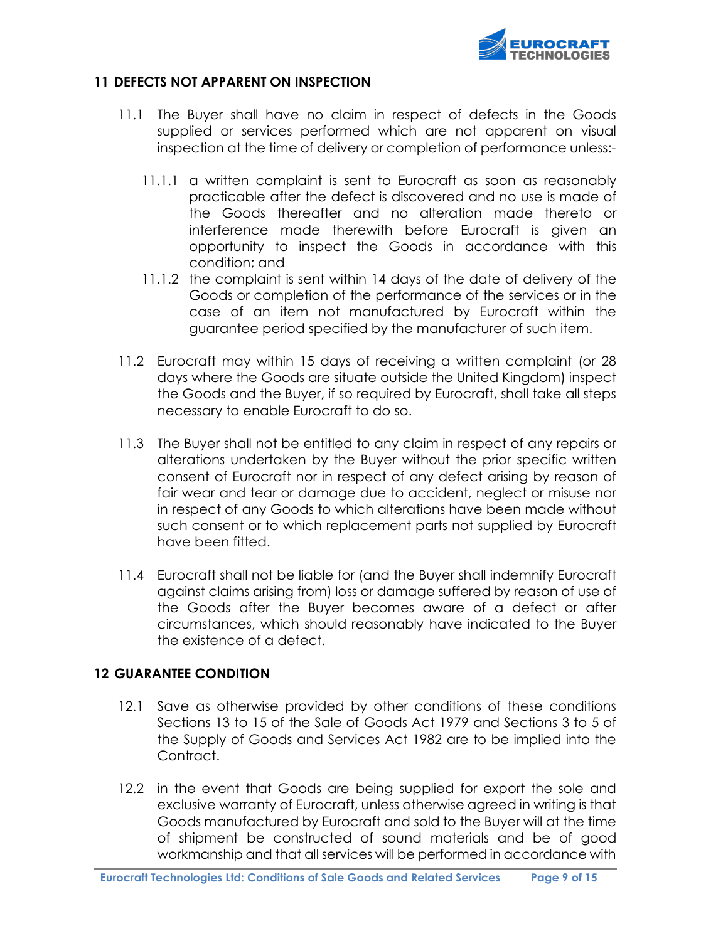

#### 11 DEFECTS NOT APPARENT ON INSPECTION

- 11.1 The Buyer shall have no claim in respect of defects in the Goods supplied or services performed which are not apparent on visual inspection at the time of delivery or completion of performance unless:-
	- 11.1.1 a written complaint is sent to Eurocraft as soon as reasonably practicable after the defect is discovered and no use is made of the Goods thereafter and no alteration made thereto or interference made therewith before Eurocraft is given an opportunity to inspect the Goods in accordance with this condition; and
	- 11.1.2 the complaint is sent within 14 days of the date of delivery of the Goods or completion of the performance of the services or in the case of an item not manufactured by Eurocraft within the guarantee period specified by the manufacturer of such item.
- 11.2 Eurocraft may within 15 days of receiving a written complaint (or 28 days where the Goods are situate outside the United Kingdom) inspect the Goods and the Buyer, if so required by Eurocraft, shall take all steps necessary to enable Eurocraft to do so.
- 11.3 The Buyer shall not be entitled to any claim in respect of any repairs or alterations undertaken by the Buyer without the prior specific written consent of Eurocraft nor in respect of any defect arising by reason of fair wear and tear or damage due to accident, neglect or misuse nor in respect of any Goods to which alterations have been made without such consent or to which replacement parts not supplied by Eurocraft have been fitted.
- 11.4 Eurocraft shall not be liable for (and the Buyer shall indemnify Eurocraft against claims arising from) loss or damage suffered by reason of use of the Goods after the Buyer becomes aware of a defect or after circumstances, which should reasonably have indicated to the Buyer the existence of a defect.

### 12 GUARANTEE CONDITION

- 12.1 Save as otherwise provided by other conditions of these conditions Sections 13 to 15 of the Sale of Goods Act 1979 and Sections 3 to 5 of the Supply of Goods and Services Act 1982 are to be implied into the Contract.
- 12.2 in the event that Goods are being supplied for export the sole and exclusive warranty of Eurocraft, unless otherwise agreed in writing is that Goods manufactured by Eurocraft and sold to the Buyer will at the time of shipment be constructed of sound materials and be of good workmanship and that all services will be performed in accordance with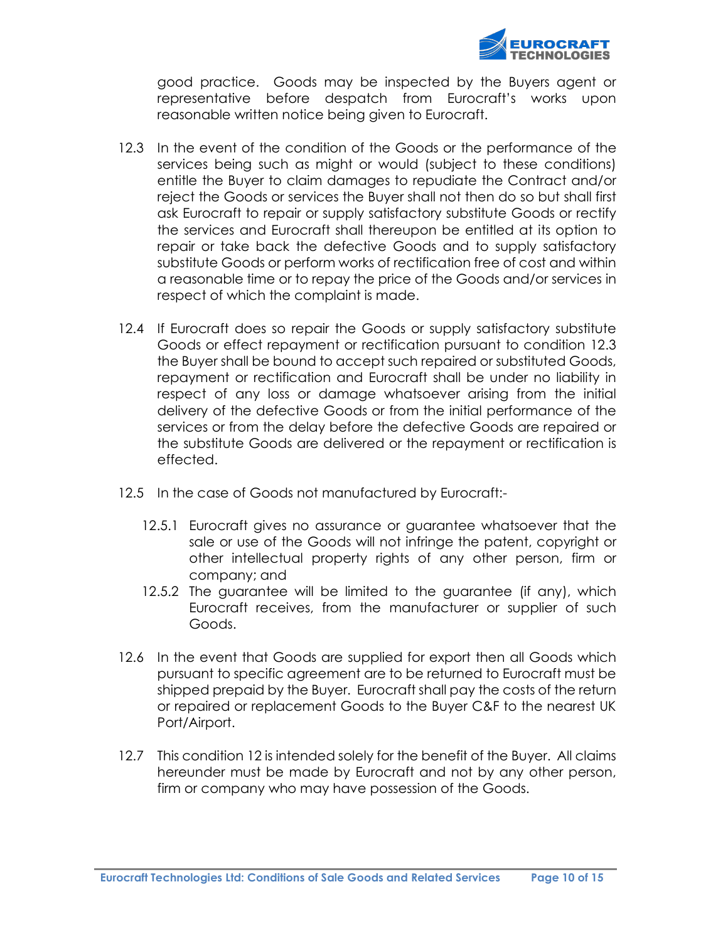

good practice. Goods may be inspected by the Buyers agent or representative before despatch from Eurocraft's works upon reasonable written notice being given to Eurocraft.

- 12.3 In the event of the condition of the Goods or the performance of the services being such as might or would (subject to these conditions) entitle the Buyer to claim damages to repudiate the Contract and/or reject the Goods or services the Buyer shall not then do so but shall first ask Eurocraft to repair or supply satisfactory substitute Goods or rectify the services and Eurocraft shall thereupon be entitled at its option to repair or take back the defective Goods and to supply satisfactory substitute Goods or perform works of rectification free of cost and within a reasonable time or to repay the price of the Goods and/or services in respect of which the complaint is made.
- 12.4 If Eurocraft does so repair the Goods or supply satisfactory substitute Goods or effect repayment or rectification pursuant to condition 12.3 the Buyer shall be bound to accept such repaired or substituted Goods, repayment or rectification and Eurocraft shall be under no liability in respect of any loss or damage whatsoever arising from the initial delivery of the defective Goods or from the initial performance of the services or from the delay before the defective Goods are repaired or the substitute Goods are delivered or the repayment or rectification is effected.
- 12.5 In the case of Goods not manufactured by Eurocraft:-
	- 12.5.1 Eurocraft gives no assurance or guarantee whatsoever that the sale or use of the Goods will not infringe the patent, copyright or other intellectual property rights of any other person, firm or company; and
	- 12.5.2 The guarantee will be limited to the guarantee (if any), which Eurocraft receives, from the manufacturer or supplier of such Goods.
- 12.6 In the event that Goods are supplied for export then all Goods which pursuant to specific agreement are to be returned to Eurocraft must be shipped prepaid by the Buyer. Eurocraft shall pay the costs of the return or repaired or replacement Goods to the Buyer C&F to the nearest UK Port/Airport.
- 12.7 This condition 12 is intended solely for the benefit of the Buyer. All claims hereunder must be made by Eurocraft and not by any other person, firm or company who may have possession of the Goods.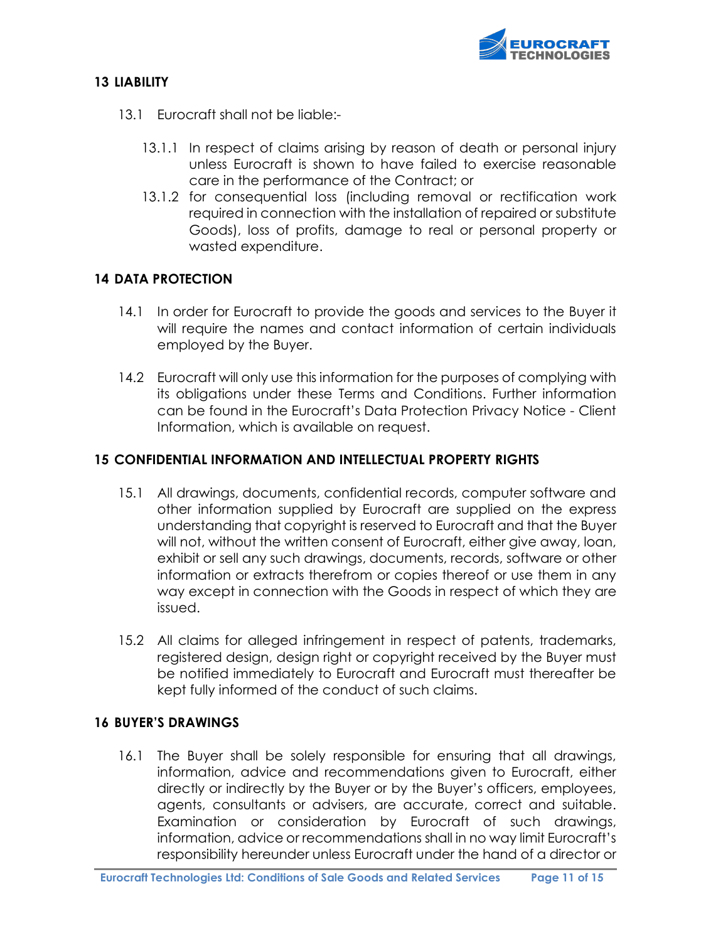

## 13 LIABILITY

- 13.1 Eurocraft shall not be liable:-
	- 13.1.1 In respect of claims arising by reason of death or personal injury unless Eurocraft is shown to have failed to exercise reasonable care in the performance of the Contract; or
	- 13.1.2 for consequential loss (including removal or rectification work required in connection with the installation of repaired or substitute Goods), loss of profits, damage to real or personal property or wasted expenditure.

#### 14 DATA PROTECTION

- 14.1 In order for Eurocraft to provide the goods and services to the Buyer it will require the names and contact information of certain individuals employed by the Buyer.
- 14.2 Eurocraft will only use this information for the purposes of complying with its obligations under these Terms and Conditions. Further information can be found in the Eurocraft's Data Protection Privacy Notice - Client Information, which is available on request.

#### 15 CONFIDENTIAL INFORMATION AND INTELLECTUAL PROPERTY RIGHTS

- 15.1 All drawings, documents, confidential records, computer software and other information supplied by Eurocraft are supplied on the express understanding that copyright is reserved to Eurocraft and that the Buyer will not, without the written consent of Eurocraft, either give away, loan, exhibit or sell any such drawings, documents, records, software or other information or extracts therefrom or copies thereof or use them in any way except in connection with the Goods in respect of which they are issued.
- 15.2 All claims for alleged infringement in respect of patents, trademarks, registered design, design right or copyright received by the Buyer must be notified immediately to Eurocraft and Eurocraft must thereafter be kept fully informed of the conduct of such claims.

### 16 BUYER'S DRAWINGS

16.1 The Buyer shall be solely responsible for ensuring that all drawings, information, advice and recommendations given to Eurocraft, either directly or indirectly by the Buyer or by the Buyer's officers, employees, agents, consultants or advisers, are accurate, correct and suitable. Examination or consideration by Eurocraft of such drawings, information, advice or recommendations shall in no way limit Eurocraft's responsibility hereunder unless Eurocraft under the hand of a director or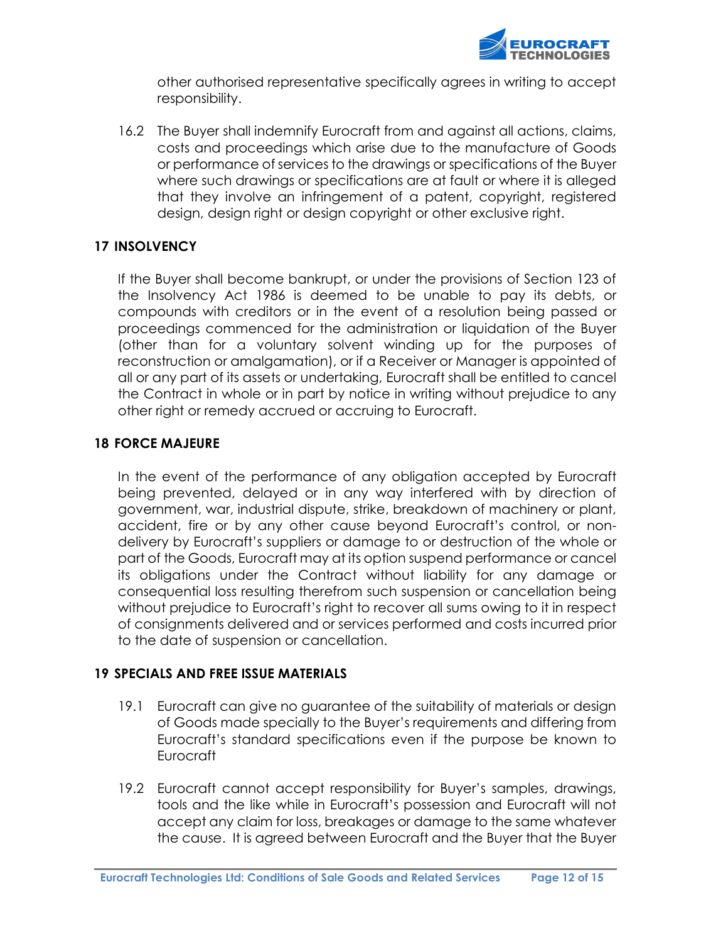

other authorised representative specifically agrees in writing to accept responsibility.

16.2 The Buyer shall indemnify Eurocraft from and against all actions, claims, costs and proceedings which arise due to the manufacture of Goods or performance of services to the drawings or specifications of the Buyer where such drawings or specifications are at fault or where it is alleged that they involve an infringement of a patent, copyright, registered design, design right or design copyright or other exclusive right.

## 17 INSOLVENCY

If the Buyer shall become bankrupt, or under the provisions of Section 123 of the Insolvency Act 1986 is deemed to be unable to pay its debts, or compounds with creditors or in the event of a resolution being passed or proceedings commenced for the administration or liquidation of the Buyer (other than for a voluntary solvent winding up for the purposes of reconstruction or amalgamation), or if a Receiver or Manager is appointed of all or any part of its assets or undertaking, Eurocraft shall be entitled to cancel the Contract in whole or in part by notice in writing without prejudice to any other right or remedy accrued or accruing to Eurocraft.

### 18 FORCE MAJEURE

In the event of the performance of any obligation accepted by Eurocraft being prevented, delayed or in any way interfered with by direction of government, war, industrial dispute, strike, breakdown of machinery or plant, accident, fire or by any other cause beyond Eurocraft's control, or nondelivery by Eurocraft's suppliers or damage to or destruction of the whole or part of the Goods, Eurocraft may at its option suspend performance or cancel its obligations under the Contract without liability for any damage or consequential loss resulting therefrom such suspension or cancellation being without prejudice to Eurocraft's right to recover all sums owing to it in respect of consignments delivered and or services performed and costs incurred prior to the date of suspension or cancellation.

### 19 SPECIALS AND FREE ISSUE MATERIALS

- 19.1 Eurocraft can give no guarantee of the suitability of materials or design of Goods made specially to the Buyer's requirements and differing from Eurocraft's standard specifications even if the purpose be known to Eurocraft
- 19.2 Eurocraft cannot accept responsibility for Buyer's samples, drawings, tools and the like while in Eurocraft's possession and Eurocraft will not accept any claim for loss, breakages or damage to the same whatever the cause. It is agreed between Eurocraft and the Buyer that the Buyer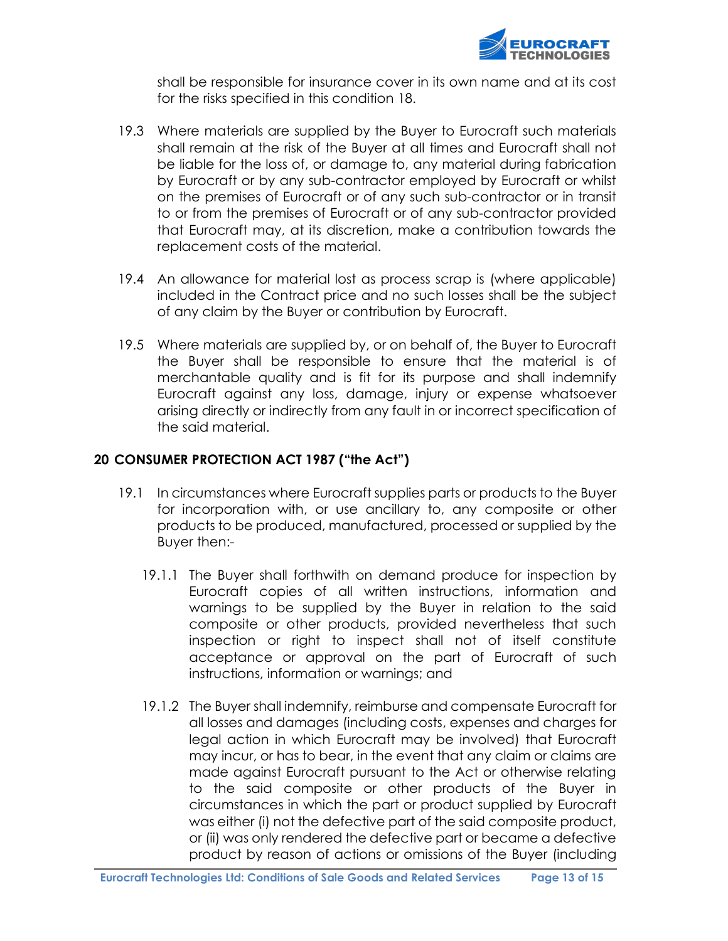

shall be responsible for insurance cover in its own name and at its cost for the risks specified in this condition 18.

- 19.3 Where materials are supplied by the Buyer to Eurocraft such materials shall remain at the risk of the Buyer at all times and Eurocraft shall not be liable for the loss of, or damage to, any material during fabrication by Eurocraft or by any sub-contractor employed by Eurocraft or whilst on the premises of Eurocraft or of any such sub-contractor or in transit to or from the premises of Eurocraft or of any sub-contractor provided that Eurocraft may, at its discretion, make a contribution towards the replacement costs of the material.
- 19.4 An allowance for material lost as process scrap is (where applicable) included in the Contract price and no such losses shall be the subject of any claim by the Buyer or contribution by Eurocraft.
- 19.5 Where materials are supplied by, or on behalf of, the Buyer to Eurocraft the Buyer shall be responsible to ensure that the material is of merchantable quality and is fit for its purpose and shall indemnify Eurocraft against any loss, damage, injury or expense whatsoever arising directly or indirectly from any fault in or incorrect specification of the said material.

### 20 CONSUMER PROTECTION ACT 1987 ("the Act")

- 19.1 In circumstances where Eurocraft supplies parts or products to the Buyer for incorporation with, or use ancillary to, any composite or other products to be produced, manufactured, processed or supplied by the Buyer then:-
	- 19.1.1 The Buyer shall forthwith on demand produce for inspection by Eurocraft copies of all written instructions, information and warnings to be supplied by the Buyer in relation to the said composite or other products, provided nevertheless that such inspection or right to inspect shall not of itself constitute acceptance or approval on the part of Eurocraft of such instructions, information or warnings; and
	- 19.1.2 The Buyer shall indemnify, reimburse and compensate Eurocraft for all losses and damages (including costs, expenses and charges for legal action in which Eurocraft may be involved) that Eurocraft may incur, or has to bear, in the event that any claim or claims are made against Eurocraft pursuant to the Act or otherwise relating to the said composite or other products of the Buyer in circumstances in which the part or product supplied by Eurocraft was either (i) not the defective part of the said composite product, or (ii) was only rendered the defective part or became a defective product by reason of actions or omissions of the Buyer (including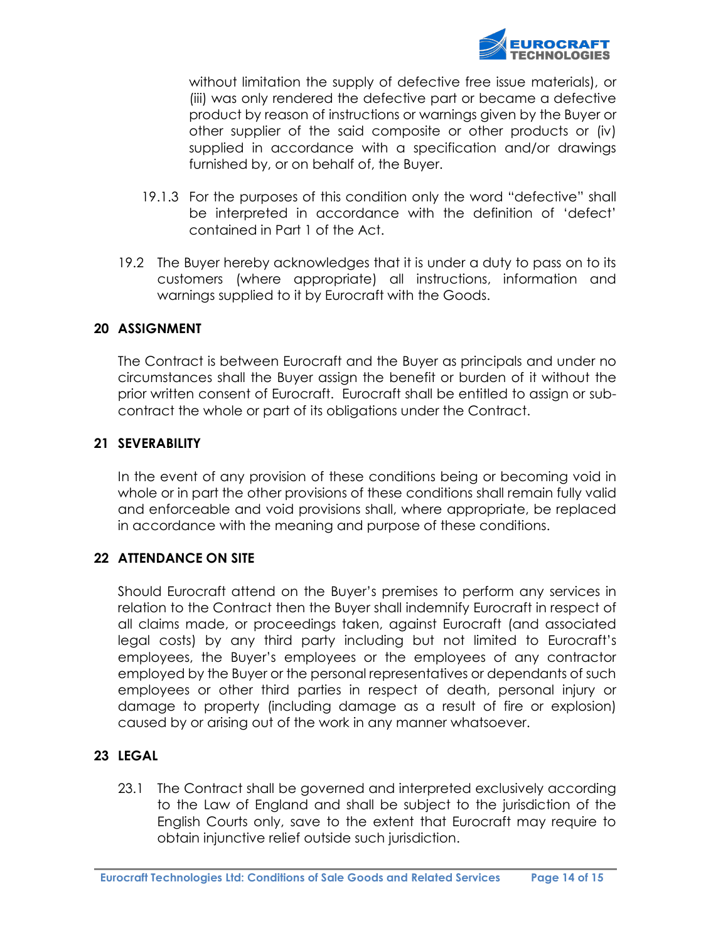

without limitation the supply of defective free issue materials), or (iii) was only rendered the defective part or became a defective product by reason of instructions or warnings given by the Buyer or other supplier of the said composite or other products or (iv) supplied in accordance with a specification and/or drawings furnished by, or on behalf of, the Buyer.

- 19.1.3 For the purposes of this condition only the word "defective" shall be interpreted in accordance with the definition of 'defect' contained in Part 1 of the Act.
- 19.2 The Buyer hereby acknowledges that it is under a duty to pass on to its customers (where appropriate) all instructions, information and warnings supplied to it by Eurocraft with the Goods.

#### 20 ASSIGNMENT

The Contract is between Eurocraft and the Buyer as principals and under no circumstances shall the Buyer assign the benefit or burden of it without the prior written consent of Eurocraft. Eurocraft shall be entitled to assign or subcontract the whole or part of its obligations under the Contract.

#### 21 SEVERABILITY

In the event of any provision of these conditions being or becoming void in whole or in part the other provisions of these conditions shall remain fully valid and enforceable and void provisions shall, where appropriate, be replaced in accordance with the meaning and purpose of these conditions.

### 22 ATTENDANCE ON SITE

Should Eurocraft attend on the Buyer's premises to perform any services in relation to the Contract then the Buyer shall indemnify Eurocraft in respect of all claims made, or proceedings taken, against Eurocraft (and associated legal costs) by any third party including but not limited to Eurocraft's employees, the Buyer's employees or the employees of any contractor employed by the Buyer or the personal representatives or dependants of such employees or other third parties in respect of death, personal injury or damage to property (including damage as a result of fire or explosion) caused by or arising out of the work in any manner whatsoever.

### 23 LEGAL

23.1 The Contract shall be governed and interpreted exclusively according to the Law of England and shall be subject to the jurisdiction of the English Courts only, save to the extent that Eurocraft may require to obtain injunctive relief outside such jurisdiction.

Eurocraft Technologies Ltd: Conditions of Sale Goods and Related Services Page 14 of 15